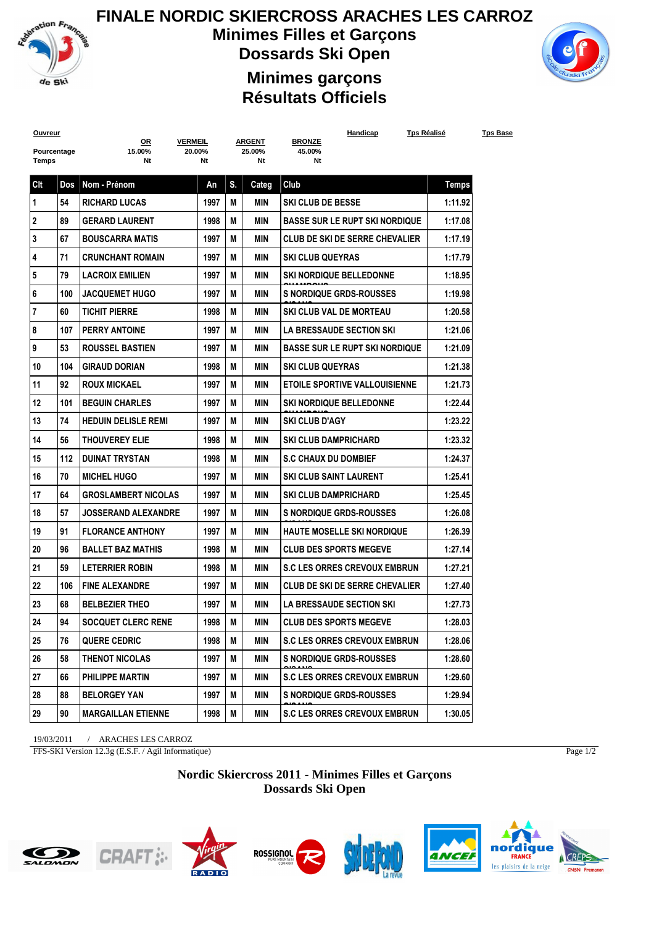

## **FINALE NORDIC SKIERCROSS ARACHES LES CARROZ Minimes Filles et Garçons Dossards Ski Open**



## **Minimes garçons Résultats Officiels**

| <b>Ouvreur</b> |     | <b>VERMEIL</b>                |      |    | <b>ARGENT</b> | Handicap<br><b>BRONZE</b>             | Tps Réalisé  | <b>Tps Base</b> |
|----------------|-----|-------------------------------|------|----|---------------|---------------------------------------|--------------|-----------------|
| Pourcentage    |     | <u>OR</u><br>15.00%<br>20.00% |      |    | 25.00%        | 45.00%                                |              |                 |
| Temps          |     | Nt                            | Nt   |    | Nt            | Nt                                    |              |                 |
| Clt            | Dos | Nom - Prénom                  | An   | S. | Categ         | Club                                  | <b>Temps</b> |                 |
| 1              | 54  | <b>RICHARD LUCAS</b>          | 1997 | M  | MIN           | <b>SKI CLUB DE BESSE</b>              | 1:11.92      |                 |
| $\mathbf 2$    | 89  | <b>GERARD LAURENT</b>         | 1998 | М  | <b>MIN</b>    | <b>BASSE SUR LE RUPT SKI NORDIQUE</b> | 1:17.08      |                 |
| 3              | 67  | <b>BOUSCARRA MATIS</b>        | 1997 | M  | MIN           | CLUB DE SKI DE SERRE CHEVALIER        | 1:17.19      |                 |
| 4              | 71  | <b>CRUNCHANT ROMAIN</b>       | 1997 | М  | MIN           | <b>SKI CLUB QUEYRAS</b>               | 1:17.79      |                 |
| 5              | 79  | <b>LACROIX EMILIEN</b>        | 1997 | М  | MIN           | <b>SKI NORDIQUE BELLEDONNE</b>        | 1:18.95      |                 |
| 6              | 100 | <b>JACQUEMET HUGO</b>         | 1997 | М  | MIN           | <b>S NORDIQUE GRDS-ROUSSES</b>        | 1:19.98      |                 |
| $\overline{7}$ | 60  | <b>TICHIT PIERRE</b>          | 1998 | М  | MIN           | <b>SKI CLUB VAL DE MORTEAU</b>        | 1:20.58      |                 |
| 8              | 107 | <b>PERRY ANTOINE</b>          | 1997 | М  | MIN           | <b>LA BRESSAUDE SECTION SKI</b>       | 1:21.06      |                 |
| 9              | 53  | <b>ROUSSEL BASTIEN</b>        | 1997 | М  | MIN           | <b>BASSE SUR LE RUPT SKI NORDIQUE</b> | 1:21.09      |                 |
| 10             | 104 | <b>GIRAUD DORIAN</b>          | 1998 | М  | <b>MIN</b>    | <b>SKI CLUB QUEYRAS</b>               | 1:21.38      |                 |
| 11             | 92  | <b>ROUX MICKAEL</b>           | 1997 | М  | MIN           | <b>ETOILE SPORTIVE VALLOUISIENNE</b>  | 1:21.73      |                 |
| 12             | 101 | <b>BEGUIN CHARLES</b>         | 1997 | М  | MIN           | <b><i>SKI NORDIQUE BELLEDONNE</i></b> | 1:22.44      |                 |
| 13             | 74  | <b>HEDUIN DELISLE REMI</b>    | 1997 | М  | MIN           | <b>SKI CLUB D'AGY</b>                 | 1:23.22      |                 |
| 14             | 56  | <b>THOUVEREY ELIE</b>         | 1998 | M  | MIN           | <b>SKI CLUB DAMPRICHARD</b>           | 1:23.32      |                 |
| 15             | 112 | <b>DUINAT TRYSTAN</b>         | 1998 | М  | MIN           | <b>S.C CHAUX DU DOMBIEF</b>           | 1:24.37      |                 |
| 16             | 70  | <b>MICHEL HUGO</b>            | 1997 | М  | MIN           | <b>SKI CLUB SAINT LAURENT</b>         | 1:25.41      |                 |
| 17             | 64  | <b>GROSLAMBERT NICOLAS</b>    | 1997 | М  | MIN           | <b>SKI CLUB DAMPRICHARD</b>           | 1:25.45      |                 |
| 18             | 57  | <b>JOSSERAND ALEXANDRE</b>    | 1997 | М  | MIN           | <b>S NORDIQUE GRDS-ROUSSES</b>        | 1:26.08      |                 |
| 19             | 91  | <b>FLORANCE ANTHONY</b>       | 1997 | М  | <b>MIN</b>    | <b>HAUTE MOSELLE SKI NORDIQUE</b>     | 1:26.39      |                 |
| 20             | 96  | <b>BALLET BAZ MATHIS</b>      | 1998 | М  | MIN           | <b>CLUB DES SPORTS MEGEVE</b>         | 1:27.14      |                 |
| 21             | 59  | <b>LETERRIER ROBIN</b>        | 1998 | М  | MIN           | <b>S.C LES ORRES CREVOUX EMBRUN</b>   | 1:27.21      |                 |
| 22             | 106 | <b>FINE ALEXANDRE</b>         | 1997 | М  | MIN           | <b>CLUB DE SKI DE SERRE CHEVALIER</b> | 1:27.40      |                 |
| 23             | 68  | <b>BELBEZIER THEO</b>         | 1997 | М  | MIN           | <b>LA BRESSAUDE SECTION SKI</b>       | 1:27.73      |                 |
| 24             | 94  | SOCQUET CLERC RENE            | 1998 | M  | <b>MIN</b>    | <b>CLUB DES SPORTS MEGEVE</b>         | 1:28.03      |                 |
| 25             | 76  | <b>QUERE CEDRIC</b>           | 1998 | M  | MIN           | <b>S.C LES ORRES CREVOUX EMBRUN</b>   | 1:28.06      |                 |
| 26             | 58  | THENOT NICOLAS                | 1997 | M  | MIN           | <b>S NORDIQUE GRDS-ROUSSES</b>        | 1:28.60      |                 |
| 27             | 66  | PHILIPPE MARTIN               | 1997 | M  | MIN           | <b>S.C LES ORRES CREVOUX EMBRUN</b>   | 1:29.60      |                 |
| 28             | 88  | <b>BELORGEY YAN</b>           | 1997 | M  | MIN           | <b>S NORDIQUE GRDS-ROUSSES</b>        | 1:29.94      |                 |
| 29             | 90  | <b>MARGAILLAN ETIENNE</b>     | 1998 | M  | MIN           | S.C LES ORRES CREVOUX EMBRUN          | 1:30.05      |                 |
|                |     |                               |      |    |               |                                       |              |                 |

19/03/2011 / ARACHES LES CARROZ

FFS-SKI Version 12.3g (E.S.F. / Agil Informatique)

Page 1/2

**Nordic Skiercross 2011 - Minimes Filles et Garçons Dossards Ski Open**